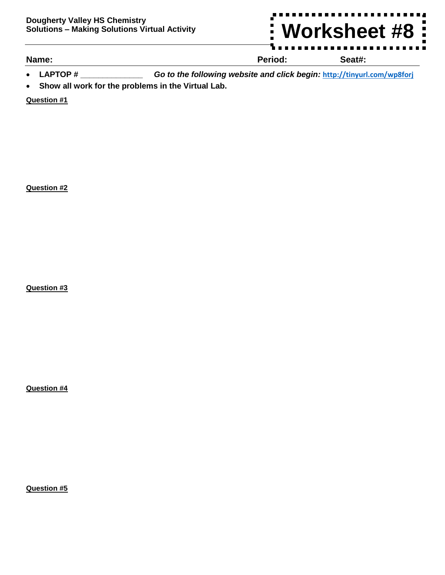

## **Name: Period: Seat#:**

- **LAPTOP # \_\_\_\_\_\_\_\_\_\_\_\_\_\_** *Go to the following website and click begin:* **<http://tinyurl.com/wp8forj>**
- **Show all work for the problems in the Virtual Lab.**

**Question #1**

**Question #2**

**Question #3**

**Question #4**

**Question #5**